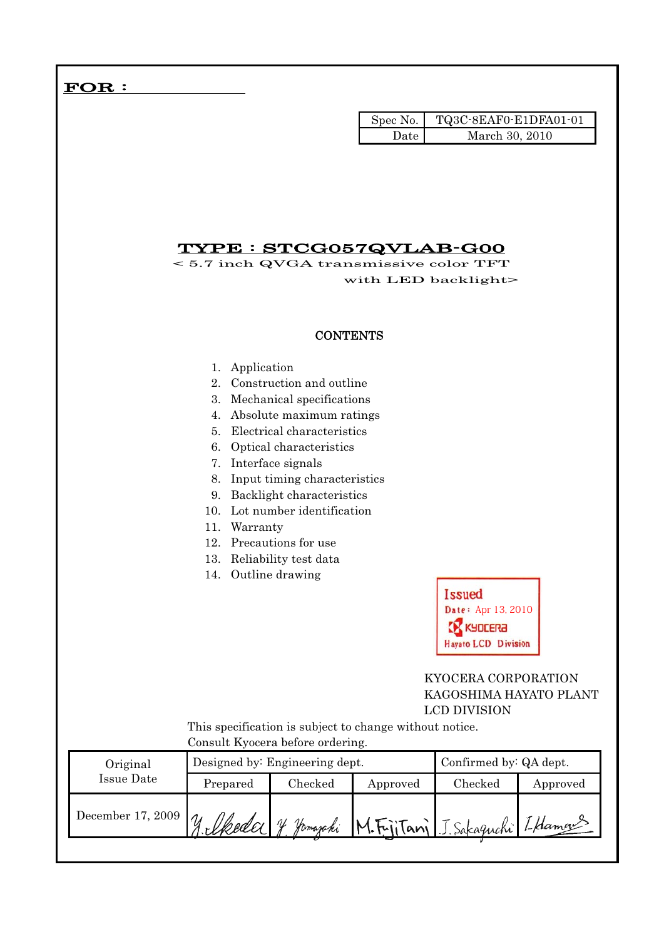# FOR : السياسي.<br>المراجع

| N <sub>0</sub> .<br><b>Spec</b> | TQ3C-8EAF0-E1DFA01-01 |
|---------------------------------|-----------------------|
| Date                            | March 30, 2010        |

# TYPE : STCG057QVLAB-G00

< 5.7 inch QVGA transmissive color TFT with LED backlight>

### **CONTENTS**

- 1. Application
- 2. Construction and outline
- 3. Mechanical specifications
- 4. Absolute maximum ratings
- 5. Electrical characteristics
- 6. Optical characteristics
- 7. Interface signals
- 8. Input timing characteristics
- 9. Backlight characteristics
- 10. Lot number identification
- 11. Warranty
- 12. Precautions for use
- 13. Reliability test data
- 14. Outline drawing



# KYOCERA CORPORATION KAGOSHIMA HAYATO PLANT LCD DIVISION

 This specification is subject to change without notice. Consult Kyocera before ordering.

| Original          |              | Designed by: Engineering dept. | Confirmed by: QA dept. |                               |          |
|-------------------|--------------|--------------------------------|------------------------|-------------------------------|----------|
| Issue Date        | Prepared     | Checked                        | Approved               | Checked                       | Approved |
| December 17, 2009 | 1. Ukeda 1 " | Hamazaki                       |                        | M.Fritani J.Sakaguchi LHamous |          |
|                   |              |                                |                        |                               |          |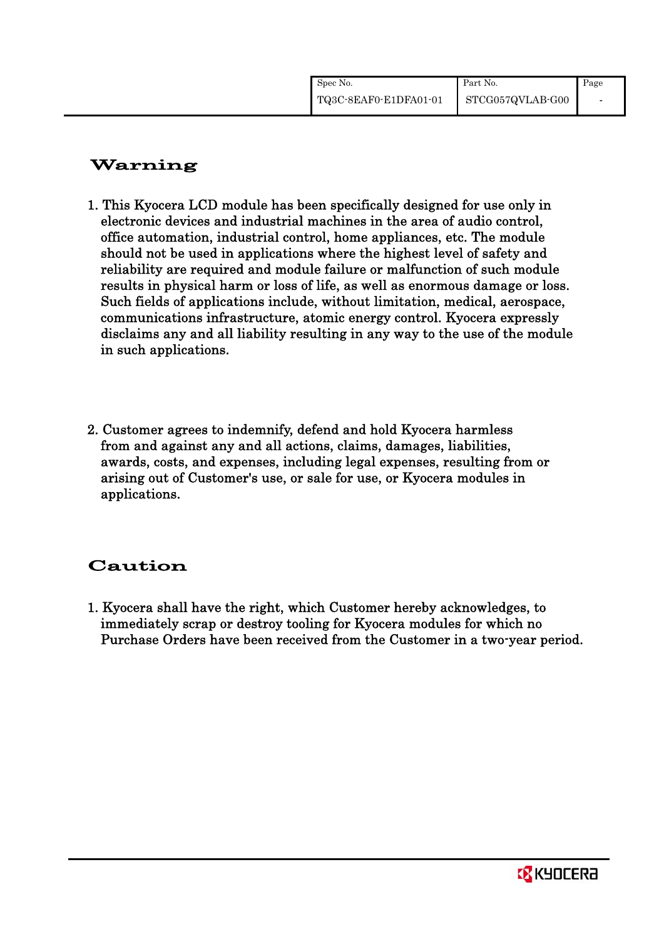| Spec No.              | Part No.           | Page   |
|-----------------------|--------------------|--------|
| TQ3C-8EAF0-E1DFA01-01 | $STCG057QVLAB-G00$ | $\sim$ |

# Warning

- 1. This Kyocera LCD module has been specifically designed for use only in electronic devices and industrial machines in the area of audio control, office automation, industrial control, home appliances, etc. The module should not be used in applications where the highest level of safety and reliability are required and module failure or malfunction of such module results in physical harm or loss of life, as well as enormous damage or loss. Such fields of applications include, without limitation, medical, aerospace, communications infrastructure, atomic energy control. Kyocera expressly disclaims any and all liability resulting in any way to the use of the module in such applications.
- 2. Customer agrees to indemnify, defend and hold Kyocera harmless from and against any and all actions, claims, damages, liabilities, awards, costs, and expenses, including legal expenses, resulting from or arising out of Customer's use, or sale for use, or Kyocera modules in applications.

# Caution

1. Kyocera shall have the right, which Customer hereby acknowledges, to immediately scrap or destroy tooling for Kyocera modules for which no Purchase Orders have been received from the Customer in a two-year period.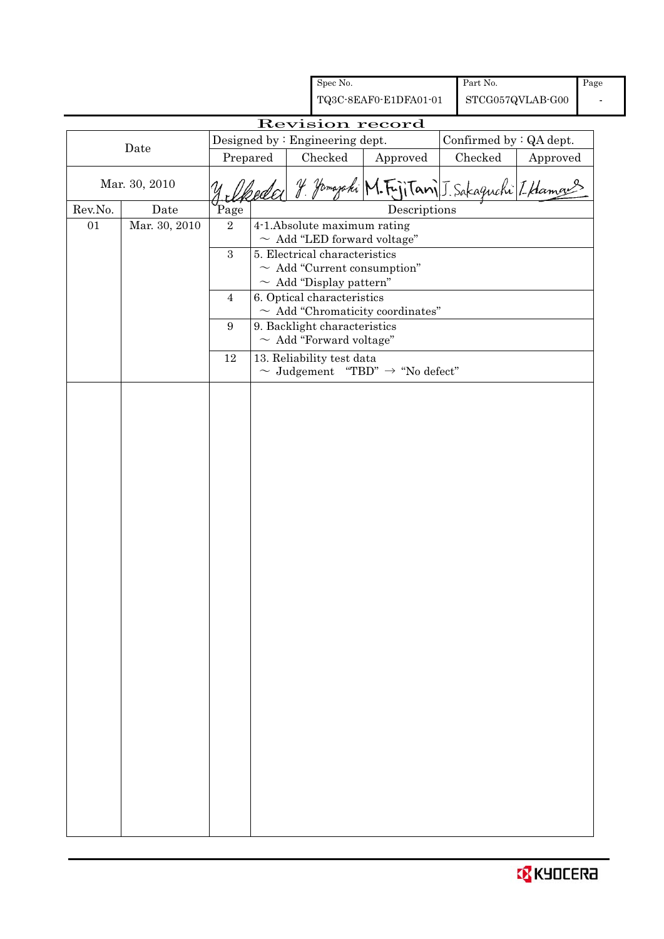|         |               |                  |  | Spec No.                        |                                                  | Part No.                |                  | Page |
|---------|---------------|------------------|--|---------------------------------|--------------------------------------------------|-------------------------|------------------|------|
|         |               |                  |  |                                 | TQ3C-8EAF0-E1DFA01-01                            |                         | STCG057QVLAB-G00 |      |
|         |               |                  |  |                                 | Revision record                                  |                         |                  |      |
|         | Date          |                  |  | Designed by : Engineering dept. |                                                  | Confirmed by : QA dept. |                  |      |
|         |               | Prepared         |  | Checked                         | Approved                                         | Checked                 | Approved         |      |
|         | Mar. 30, 2010 |                  |  |                                 | If Jamajaki M.Fujitani]J.Sakaguchi Lhamaus       |                         |                  |      |
| Rev.No. | Date          | Page             |  |                                 | Descriptions                                     |                         |                  |      |
| 01      | Mar. 30, 2010 | $\boldsymbol{2}$ |  | 4-1. Absolute maximum rating    |                                                  |                         |                  |      |
|         |               | 3                |  | 5. Electrical characteristics   | $\sim$ Add "LED forward voltage"                 |                         |                  |      |
|         |               |                  |  |                                 | $\sim$ Add "Current consumption"                 |                         |                  |      |
|         |               |                  |  | $\sim$ Add "Display pattern"    |                                                  |                         |                  |      |
|         |               | $\overline{4}$   |  | 6. Optical characteristics      |                                                  |                         |                  |      |
|         |               | $\boldsymbol{9}$ |  | 9. Backlight characteristics    | $\sim$ Add "Chromaticity coordinates"            |                         |                  |      |
|         |               |                  |  | $\sim$ Add "Forward voltage"    |                                                  |                         |                  |      |
|         |               | 12               |  | 13. Reliability test data       |                                                  |                         |                  |      |
|         |               |                  |  |                                 | $\sim$ Judgement "TBD" $\rightarrow$ "No defect" |                         |                  |      |
|         |               |                  |  |                                 |                                                  |                         |                  |      |
|         |               |                  |  |                                 |                                                  |                         |                  |      |
|         |               |                  |  |                                 |                                                  |                         |                  |      |
|         |               |                  |  |                                 |                                                  |                         |                  |      |
|         |               |                  |  |                                 |                                                  |                         |                  |      |
|         |               |                  |  |                                 |                                                  |                         |                  |      |
|         |               |                  |  |                                 |                                                  |                         |                  |      |
|         |               |                  |  |                                 |                                                  |                         |                  |      |
|         |               |                  |  |                                 |                                                  |                         |                  |      |
|         |               |                  |  |                                 |                                                  |                         |                  |      |
|         |               |                  |  |                                 |                                                  |                         |                  |      |
|         |               |                  |  |                                 |                                                  |                         |                  |      |
|         |               |                  |  |                                 |                                                  |                         |                  |      |
|         |               |                  |  |                                 |                                                  |                         |                  |      |
|         |               |                  |  |                                 |                                                  |                         |                  |      |
|         |               |                  |  |                                 |                                                  |                         |                  |      |
|         |               |                  |  |                                 |                                                  |                         |                  |      |
|         |               |                  |  |                                 |                                                  |                         |                  |      |
|         |               |                  |  |                                 |                                                  |                         |                  |      |
|         |               |                  |  |                                 |                                                  |                         |                  |      |
|         |               |                  |  |                                 |                                                  |                         |                  |      |
|         |               |                  |  |                                 |                                                  |                         |                  |      |
|         |               |                  |  |                                 |                                                  |                         |                  |      |
|         |               |                  |  |                                 |                                                  |                         |                  |      |
|         |               |                  |  |                                 |                                                  |                         |                  |      |
|         |               |                  |  |                                 |                                                  |                         |                  |      |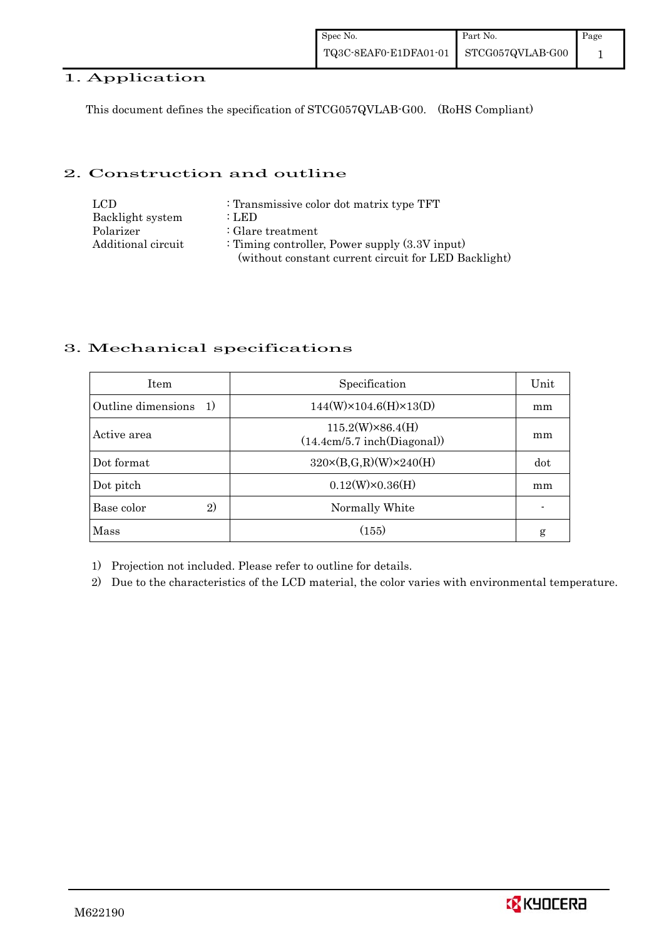# 1. Application

This document defines the specification of STCG057QVLAB-G00. (RoHS Compliant)

## 2. Construction and outline

| LCD.               | : Transmissive color dot matrix type TFT             |
|--------------------|------------------------------------------------------|
| Backlight system   | : LED                                                |
| Polarizer          | $\therefore$ Glare treatment                         |
| Additional circuit | : Timing controller, Power supply $(3.3V)$ input)    |
|                    | (without constant current circuit for LED Backlight) |

## 3. Mechanical specifications

| <b>Item</b>                        | Specification                                          | Unit |
|------------------------------------|--------------------------------------------------------|------|
| Outline dimensions<br><sup>1</sup> | $144(W)\times 104.6(H)\times 13(D)$                    | mm   |
| Active area                        | $115.2(W)\times86.4(H)$<br>(14.4cm/5.7 inch(Diagonal)) | mm   |
| Dot format                         | $320 \times (B,G,R)(W) \times 240(H)$                  | dot  |
| Dot pitch                          | $0.12(W)\times0.36(H)$                                 | mm   |
| Base color<br>$\mathbf{2}$         | Normally White                                         |      |
| Mass                               | (155)                                                  | g    |

1) Projection not included. Please refer to outline for details.

2) Due to the characteristics of the LCD material, the color varies with environmental temperature.

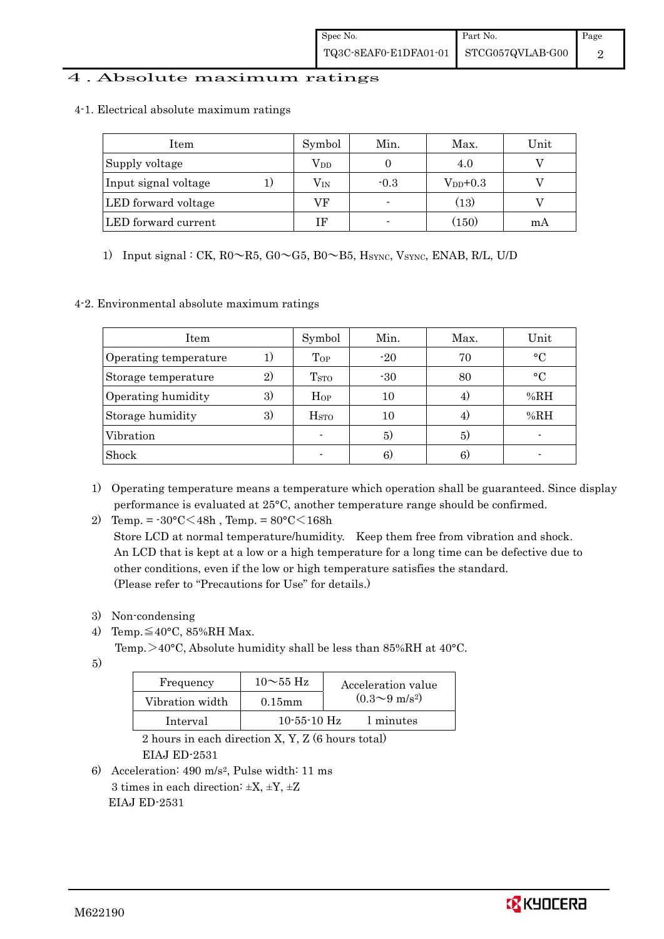## 4. Absolute maximum ratings

#### 4-1. Electrical absolute maximum ratings

| Item                 | Symbol           | Min.   | Max.              | Unit |
|----------------------|------------------|--------|-------------------|------|
| Supply voltage       | $\rm V_{DD}$     |        | 4.0               |      |
| Input signal voltage | $\rm V_{\rm IN}$ | $-0.3$ | $\rm V_{DD}$ +0.3 |      |
| LED forward voltage  | VF               |        | (13)              |      |
| LED forward current  | ΙF               |        | (150)             | mА   |

1) Input signal : CK,  $R0 \sim R5$ ,  $G0 \sim G5$ ,  $B0 \sim B5$ ,  $H_{\text{SYNC}}$ ,  $V_{\text{SYNC}}$ ,  $ENAB$ ,  $R/L$ ,  $U/D$ 

### 4-2. Environmental absolute maximum ratings

| Item                  |    | Symbol                  | Min.  | Max. | Unit      |
|-----------------------|----|-------------------------|-------|------|-----------|
| Operating temperature | 1. | Top                     | $-20$ | 70   | $\circ$ C |
| Storage temperature   | 2) | T <sub>STO</sub>        | $-30$ | 80   | $\circ$ C |
| Operating humidity    | 3) | Hop                     | 10    | 4)   | %RH       |
| Storage humidity      | 3) | <b>H</b> <sub>STO</sub> | 10    | 4)   | %RH       |
| Vibration             |    |                         | 5)    | 5)   |           |
| Shock                 |    |                         | 6)    | 6)   |           |

- 1) Operating temperature means a temperature which operation shall be guaranteed. Since display performance is evaluated at 25°C, another temperature range should be confirmed.
- 2) Temp. =  $-30^{\circ}$ C $<$ 48h, Temp. =  $80^{\circ}$ C $<$ 168h

- 3) Non-condensing
- 4) Temp. $\leq 40^{\circ}$ C, 85%RH Max.
	- Temp. $>40^{\circ}$ C, Absolute humidity shall be less than 85%RH at 40°C.
- 5)

| Frequency       | $10\sim$ 55 Hz    | Acceleration value           |
|-----------------|-------------------|------------------------------|
| Vibration width | $0.15$ mm         | $(0.3 \sim 9 \text{ m/s}^2)$ |
| Interval        | $10 - 55 - 10$ Hz | 1 minutes                    |

 2 hours in each direction X, Y, Z (6 hours total) EIAJ ED-2531

6) Acceleration: 490 m/s2, Pulse width: 11 ms 3 times in each direction:  $\pm X$ ,  $\pm Y$ ,  $\pm Z$ EIAJ ED-2531

Store LCD at normal temperature/humidity. Keep them free from vibration and shock. An LCD that is kept at a low or a high temperature for a long time can be defective due to other conditions, even if the low or high temperature satisfies the standard. (Please refer to "Precautions for Use" for details.)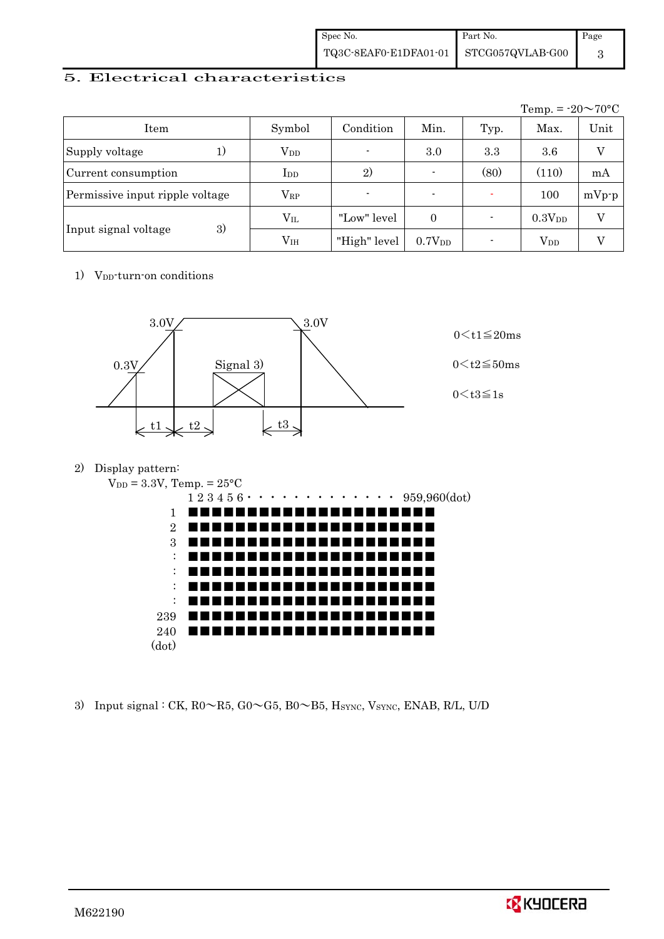| Spec No.                                                                                          | Part No. | Page |
|---------------------------------------------------------------------------------------------------|----------|------|
| $\begin{tabular}{c c c} \textbf{TQ3C-SEAF0-E1DFA01-01} & \textbf{STCG057QVLAB-G00} \end{tabular}$ |          |      |

# 5. Electrical characteristics

|                                 |               |                |                    |      | Temp. = $-20 \sim 70$ °C |         |
|---------------------------------|---------------|----------------|--------------------|------|--------------------------|---------|
| Item                            | Symbol        | Condition      | Min.               | Typ. | Max.                     | Unit    |
| Supply voltage                  | $\rm V_{DD}$  | $\blacksquare$ | 3.0                | 3.3  | 3.6                      | V       |
| Current consumption             | $_{\rm{LDD}}$ | 2)             |                    | (80) | (110)                    | mA      |
| Permissive input ripple voltage | $\rm V_{RP}$  | ٠              |                    |      | 100                      | $mVp-p$ |
|                                 | $\rm V_{II}$  | "Low" level    | $\overline{0}$     |      | 0.3V <sub>DD</sub>       | V       |
| 3)<br>Input signal voltage      | $\rm V_{IH}$  | "High" level   | 0.7V <sub>DD</sub> |      | $V_{DD}$                 |         |

1) V<sub>DD</sub>-turn-on conditions



2) Display pattern:



3) Input signal : CK,  $R0 \sim R5$ ,  $G0 \sim G5$ ,  $B0 \sim B5$ ,  $H_{\text{SYNC}}$ ,  $V_{\text{SYNC}}$ ,  $ENAB$ ,  $R/L$ ,  $U/D$ 

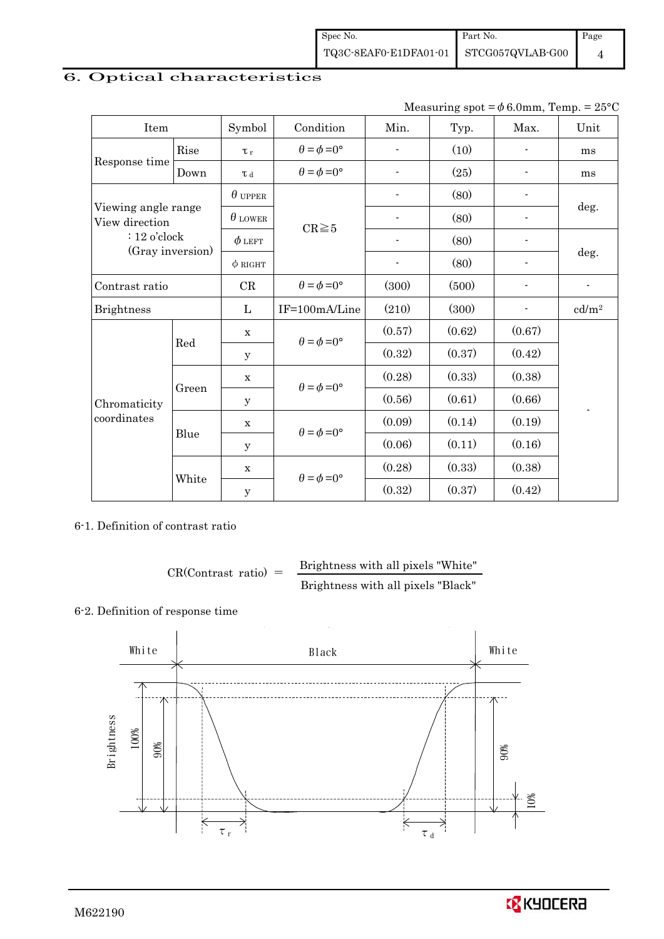# 6. Optical characteristics

|  | Measuring spot = $\phi$ 6.0mm, Temp. = 25°C |  |
|--|---------------------------------------------|--|
|--|---------------------------------------------|--|

| Item                                  |       | Symbol         | Condition                   | Min.                     | Typ.   | Max.                     | Unit              |
|---------------------------------------|-------|----------------|-----------------------------|--------------------------|--------|--------------------------|-------------------|
|                                       | Rise  | $\tau_r$       | $\theta = \phi = 0^{\circ}$ | $\overline{a}$           | (10)   |                          | ms                |
| Response time                         | Down  | T d            | $\theta = \phi = 0^{\circ}$ | $\overline{\phantom{a}}$ | (25)   |                          | ms                |
|                                       |       | $\theta$ upper |                             |                          | (80)   |                          |                   |
| Viewing angle range<br>View direction |       | $\theta$ lower | $CR \ge 5$                  |                          | (80)   |                          | deg.              |
| $: 12$ o'clock                        |       | $\phi$ left    |                             | $\overline{\phantom{a}}$ | (80)   | $\blacksquare$           |                   |
| (Gray inversion)                      |       | $\phi$ RIGHT   |                             | ٠                        | (80)   | $\overline{a}$           | deg.              |
| Contrast ratio                        |       | CR             | $\theta = \phi = 0^{\circ}$ | (300)                    | (500)  | $\overline{\phantom{0}}$ |                   |
| <b>Brightness</b>                     |       | L              | IF=100mA/Line               | (210)                    | (300)  | $\overline{\phantom{a}}$ | cd/m <sup>2</sup> |
|                                       | Red   | $\mathbf x$    | $\theta = \phi = 0^{\circ}$ | (0.57)                   | (0.62) | (0.67)                   |                   |
|                                       |       | y              |                             | (0.32)                   | (0.37) | (0.42)                   |                   |
|                                       |       | $\mathbf x$    | $\theta = \phi = 0^{\circ}$ | (0.28)                   | (0.33) | (0.38)                   |                   |
| Chromaticity                          | Green | у              |                             | (0.56)                   | (0.61) | (0.66)                   |                   |
| coordinates                           |       | $\mathbf X$    |                             | (0.09)                   | (0.14) | (0.19)                   |                   |
|                                       | Blue  | У              | $\theta = \phi = 0^{\circ}$ | (0.06)                   | (0.11) | (0.16)                   |                   |
|                                       |       | $\mathbf x$    | $\theta = \phi = 0^{\circ}$ | (0.28)                   | (0.33) | (0.38)                   |                   |
|                                       | White | $\mathbf y$    |                             | (0.32)                   | (0.37) | (0.42)                   |                   |

6-1. Definition of contrast ratio

$$
CR(Contrast ratio) = \frac{Brightness with all pixels "White" }{Brightness with all pixels "Black" }
$$

## 6-2. Definition of response time



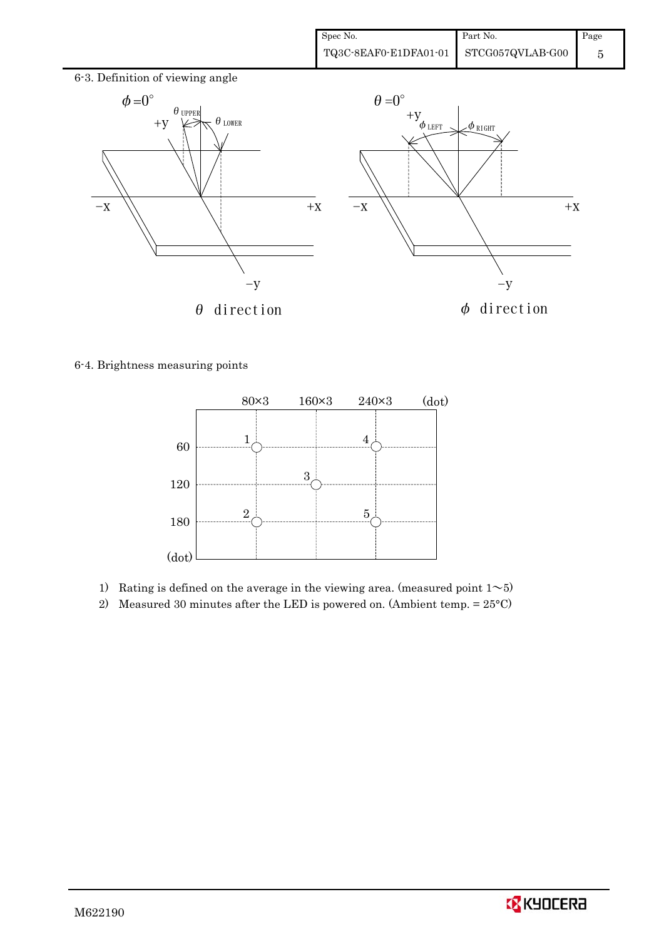

6-4. Brightness measuring points



- 1) Rating is defined on the average in the viewing area. (measured point  $1~$
- 2) Measured 30 minutes after the LED is powered on. (Ambient temp.  $= 25^{\circ}$ C)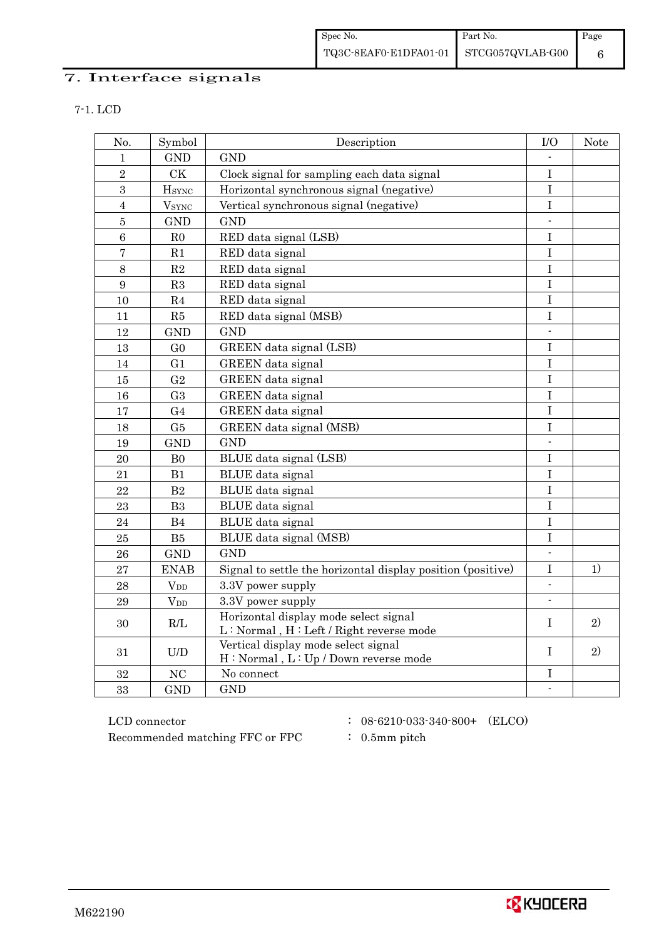# 7. Interface signals

|--|--|--|--|

| No.            | Symbol                     | Description                                                                      | I/O                      | Note         |
|----------------|----------------------------|----------------------------------------------------------------------------------|--------------------------|--------------|
| $\mathbf{1}$   | <b>GND</b>                 | <b>GND</b>                                                                       |                          |              |
| $\overline{2}$ | <b>CK</b>                  | Clock signal for sampling each data signal                                       | $\mathbf I$              |              |
| 3              | $\mathbf{H}_{\text{SYNC}}$ | Horizontal synchronous signal (negative)                                         | $\bf I$                  |              |
| $\overline{4}$ | <b>V</b> <sub>SYNC</sub>   | Vertical synchronous signal (negative)                                           | $\mathbf I$              |              |
| $\overline{5}$ | <b>GND</b>                 | <b>GND</b>                                                                       | $\overline{a}$           |              |
| $\overline{6}$ | R <sub>0</sub>             | RED data signal (LSB)                                                            | $\mathbf I$              |              |
| $\overline{7}$ | R1                         | RED data signal                                                                  | I                        |              |
| $\,8\,$        | R2                         | RED data signal                                                                  | $\bf I$                  |              |
| 9              | R3                         | RED data signal                                                                  | $\bf I$                  |              |
| 10             | R <sub>4</sub>             | RED data signal                                                                  | I                        |              |
| 11             | R5                         | RED data signal (MSB)                                                            | $\bf I$                  |              |
| 12             | <b>GND</b>                 | <b>GND</b>                                                                       | $\overline{\phantom{a}}$ |              |
| 13             | G <sub>0</sub>             | GREEN data signal (LSB)                                                          | I                        |              |
| 14             | G1                         | GREEN data signal                                                                | $\mathbf I$              |              |
| 15             | G <sub>2</sub>             | GREEN data signal                                                                | $\overline{I}$           |              |
| 16             | G <sub>3</sub>             | GREEN data signal                                                                | $\mathbf I$              |              |
| 17             | G <sub>4</sub>             | GREEN data signal                                                                | $\bf I$                  |              |
| 18             | G5                         | GREEN data signal (MSB)                                                          | I                        |              |
| 19             | <b>GND</b>                 | <b>GND</b>                                                                       |                          |              |
| 20             | B <sub>0</sub>             | BLUE data signal (LSB)                                                           | I                        |              |
| 21             | B1                         | BLUE data signal                                                                 | $\mathbf I$              |              |
| 22             | B <sub>2</sub>             | <b>BLUE</b> data signal                                                          | $\bf I$                  |              |
| 23             | B <sub>3</sub>             | BLUE data signal                                                                 | $\mathbf I$              |              |
| 24             | B <sub>4</sub>             | BLUE data signal                                                                 | I                        |              |
| 25             | B5                         | BLUE data signal (MSB)                                                           | $\bf I$                  |              |
| 26             | <b>GND</b>                 | <b>GND</b>                                                                       | $\blacksquare$           |              |
| 27             | <b>ENAB</b>                | Signal to settle the horizontal display position (positive)                      | I                        | 1)           |
| 28             | $V_{DD}$                   | 3.3V power supply                                                                | $\mathbf{r}$             |              |
| 29             | $V_{DD}$                   | 3.3V power supply                                                                | $\blacksquare$           |              |
| 30             | R/L                        | Horizontal display mode select signal<br>L: Normal, H: Left / Right reverse mode | T                        | $\mathbf{2}$ |
| 31             | U/D                        | Vertical display mode select signal<br>H: Normal, L: Up / Down reverse mode      | T                        | 2)           |
| 32             | NC                         | No connect                                                                       | I                        |              |
| 33             | <b>GND</b>                 | <b>GND</b>                                                                       | $\overline{\phantom{a}}$ |              |

 ${\rm LCD~connector} ~~:~ 08\text{-}6210\text{-}033\text{-}340\text{-}800 + ~~({\rm ELCO})$ Recommended matching FFC or FPC : 0.5mm pitch

- 
-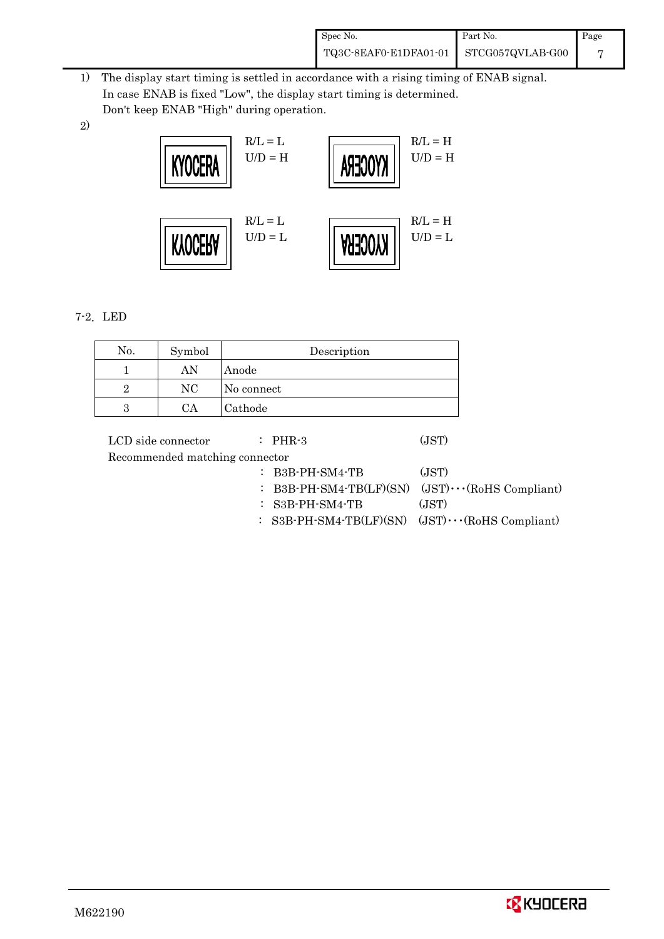| Spec No.                               | Part No. | Page |
|----------------------------------------|----------|------|
| TQ3C-8EAF0-E1DFA01-01 STCG057QVLAB-G00 |          |      |

- 1) The display start timing is settled in accordance with a rising timing of ENAB signal. In case ENAB is fixed "Low", the display start timing is determined. Don't keep ENAB "High" during operation.
- 2)



# 7-2.LED

| No. | Symbol | Description |
|-----|--------|-------------|
|     | AN     | Anode       |
| 2   | NC.    | No connect  |
| 3   | CА     | Cathode     |

| LCD side connector             | $\therefore$ PHR-3 | (JST)                                                     |
|--------------------------------|--------------------|-----------------------------------------------------------|
| Recommended matching connector |                    |                                                           |
|                                | $:$ B3B-PH-SM4-TB  | (JST)                                                     |
|                                |                    | : B3B-PH-SM4-TB(LF)(SN) $(JST)\cdots$ (RoHS Compliant)    |
|                                | $:$ S3B-PH-SM4-TB  | (JST)                                                     |
|                                |                    | : $S3B-PH-SM4-TB(LF)(SN)$ (JST) $\cdots$ (RoHS Compliant) |
|                                |                    |                                                           |

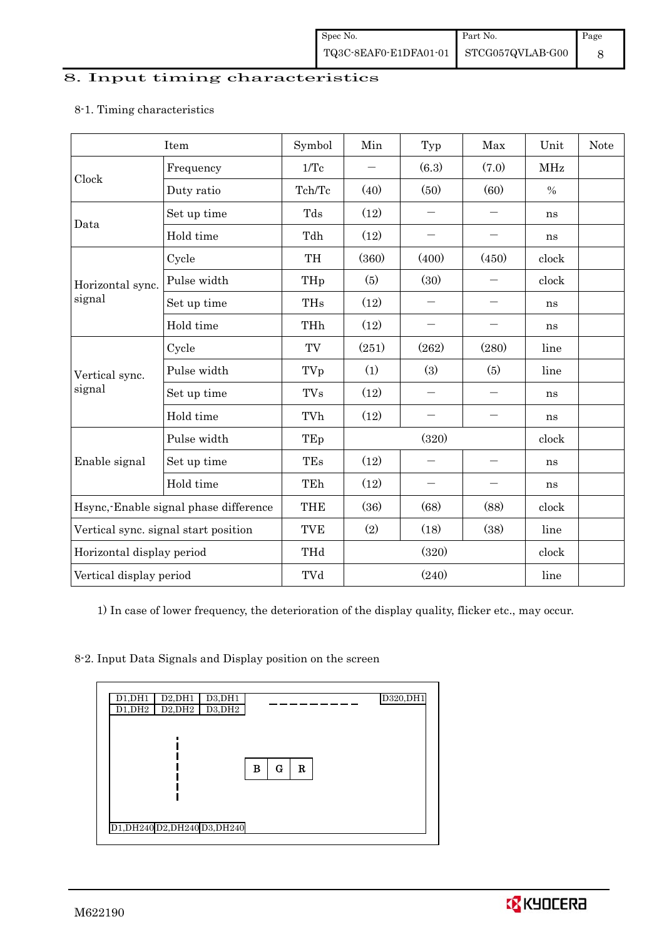### 8. Input timing characteristics

# 8-1. Timing characteristics

|                                       | Item                                 | Symbol     | Min   | Typ                      | Max                      | Unit  | <b>Note</b> |
|---------------------------------------|--------------------------------------|------------|-------|--------------------------|--------------------------|-------|-------------|
|                                       | Frequency                            | 1/Tc       |       | (6.3)                    | (7.0)                    | MHz   |             |
| Clock                                 | Duty ratio                           | Tch/Tc     | (40)  | (50)                     | (60)                     | $\%$  |             |
|                                       | Set up time                          | Tds        | (12)  |                          |                          | ns    |             |
| Data                                  | Hold time                            | Tdh        | (12)  |                          |                          | ns    |             |
|                                       | Cycle                                | TH         | (360) | (400)                    | (450)                    | clock |             |
| Horizontal sync.                      | Pulse width                          | THp        | (5)   | (30)                     | $\overline{\phantom{0}}$ | clock |             |
| signal                                | Set up time                          | <b>THs</b> | (12)  |                          | $\overline{\phantom{0}}$ | ns    |             |
|                                       | Hold time                            | THh        | (12)  | $\overline{\phantom{0}}$ |                          | ns    |             |
|                                       | Cycle                                | TV         | (251) | (262)                    | (280)                    | line  |             |
| Vertical sync.                        | Pulse width                          | TVp        | (1)   | (3)                      | (5)                      | line  |             |
| signal                                | Set up time                          | TVs        | (12)  | $\overline{\phantom{0}}$ | $\overline{\phantom{0}}$ | ns    |             |
|                                       | Hold time                            | TVh        | (12)  | $\overline{\phantom{0}}$ |                          | ns    |             |
|                                       | Pulse width                          | TEp        | (320) |                          |                          | clock |             |
| Enable signal                         | Set up time                          | TEs        | (12)  |                          |                          | ns    |             |
|                                       | Hold time                            | TEh        | (12)  | $\qquad \qquad -$        |                          | ns    |             |
| Hsync, Enable signal phase difference |                                      | <b>THE</b> | (36)  | (68)                     | (88)                     | clock |             |
|                                       | Vertical sync. signal start position | <b>TVE</b> | (2)   | (18)                     | (38)                     | line  |             |
| Horizontal display period             |                                      | THd        | (320) |                          | clock                    |       |             |
| Vertical display period               |                                      | TVd        | (240) |                          |                          | line  |             |

1) In case of lower frequency, the deterioration of the display quality, flicker etc., may occur.

8-2. Input Data Signals and Display position on the screen

| D1, DH1<br>D2,DH1<br>D2, DH2<br>D1, DH2 | D3,DH1<br>D3,DH2      | D320, DH1 |
|-----------------------------------------|-----------------------|-----------|
|                                         |                       |           |
|                                         | $\mathbf G$<br>R<br>в |           |
|                                         |                       |           |
| D1, DH240 D2, DH240 D3, DH240           |                       |           |

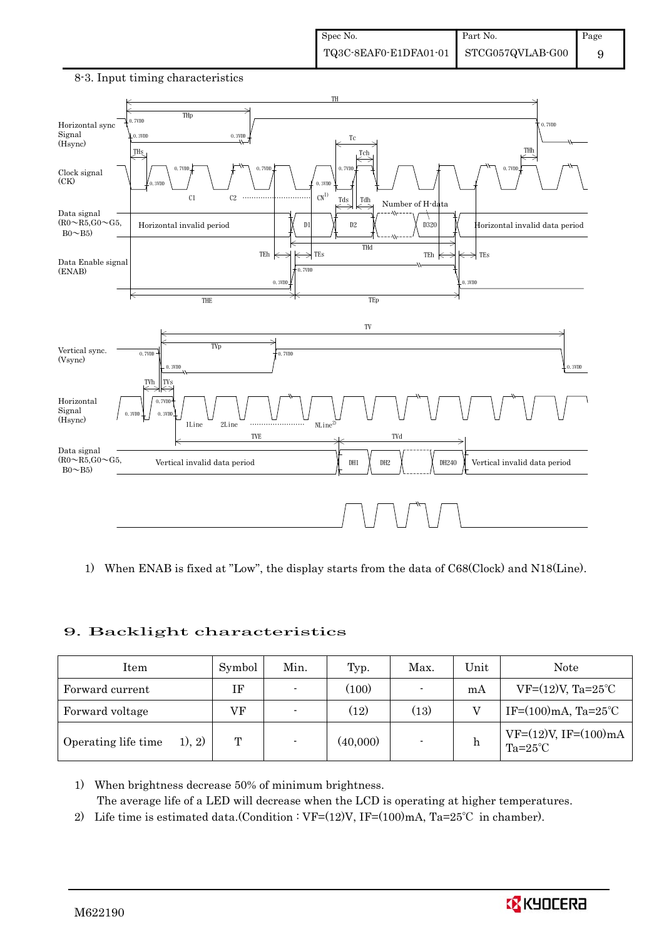

#### 8-3. Input timing characteristics

1) When ENAB is fixed at "Low", the display starts from the data of C68(Clock) and N18(Line).

| Item                             | Symbol       | Min. | Typ.     | Max. | Unit | Note                                       |
|----------------------------------|--------------|------|----------|------|------|--------------------------------------------|
| Forward current                  | IF           |      | (100)    |      | mA   | $VF=(12)V, Ta=25°C$                        |
| Forward voltage                  | VF           |      | (12)     | (13) |      | IF= $(100)$ mA, Ta= $25^{\circ}$ C         |
| $1)$ , 2)<br>Operating life time | $\mathbf{T}$ |      | (40,000) |      | h    | $VF=(12)V, IF=(100)mA$<br>$Ta=25^{\circ}C$ |

## 9. Backlight characteristics

1) When brightness decrease 50% of minimum brightness.

The average life of a LED will decrease when the LCD is operating at higher temperatures.

2) Life time is estimated data.(Condition : VF=(12)V, IF=(100)mA, Ta=25℃ in chamber).

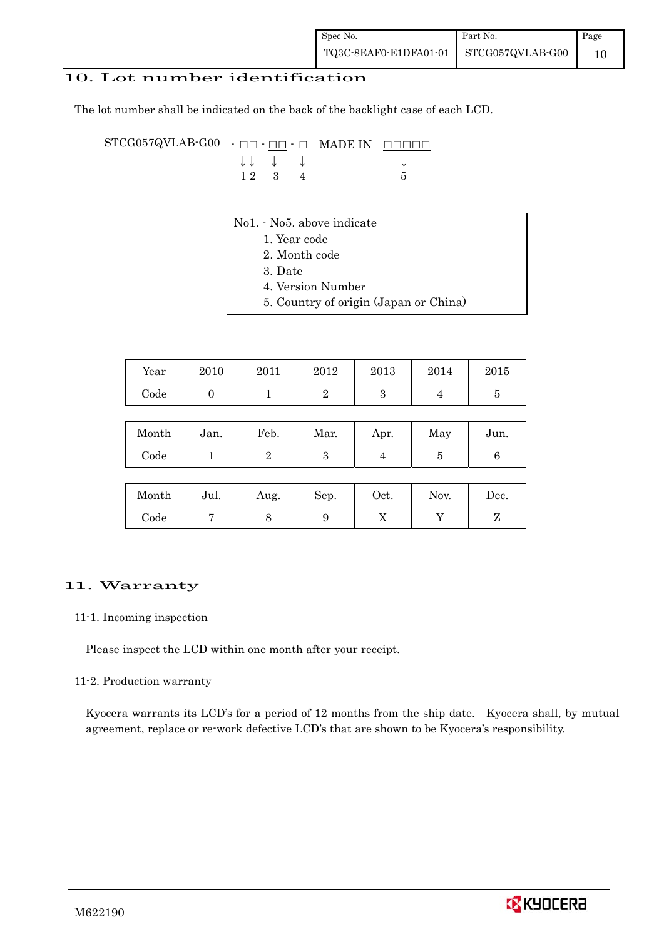### 10. Lot number identification

The lot number shall be indicated on the back of the backlight case of each LCD.

 $STCG057QVLAB-G00 - \Box\Box - \underline{\Box\Box} - \Box$  MADE IN  $\Box\Box\Box\Box$  $\downarrow \downarrow \quad \downarrow \quad \downarrow \qquad \qquad \downarrow$  $1 \ 2 \ 3 \ 4$  5

- No1. No5. above indicate
	- 1. Year code
	- 2. Month code
	- 3. Date
	- 4. Version Number
	- 5. Country of origin (Japan or China)

| Year | 2010 | 2011 | 2012 | 2013 | 2014 | 2015 |
|------|------|------|------|------|------|------|
| Code |      |      |      | ഄ    |      |      |

| Month | Jan. | Feb. | Mar. | Apr. | May | Jun. |
|-------|------|------|------|------|-----|------|
| Code  |      |      |      |      |     |      |

| Month      | Jul. | Aug. | Sep. | Oct. | Nov. | $\operatorname{Dec.}$ |
|------------|------|------|------|------|------|-----------------------|
| $\rm Code$ |      |      |      | ∡⊾   |      |                       |

### 11. Warranty

### 11-1. Incoming inspection

Please inspect the LCD within one month after your receipt.

### 11-2. Production warranty

 Kyocera warrants its LCD's for a period of 12 months from the ship date. Kyocera shall, by mutual agreement, replace or re-work defective LCD's that are shown to be Kyocera's responsibility.

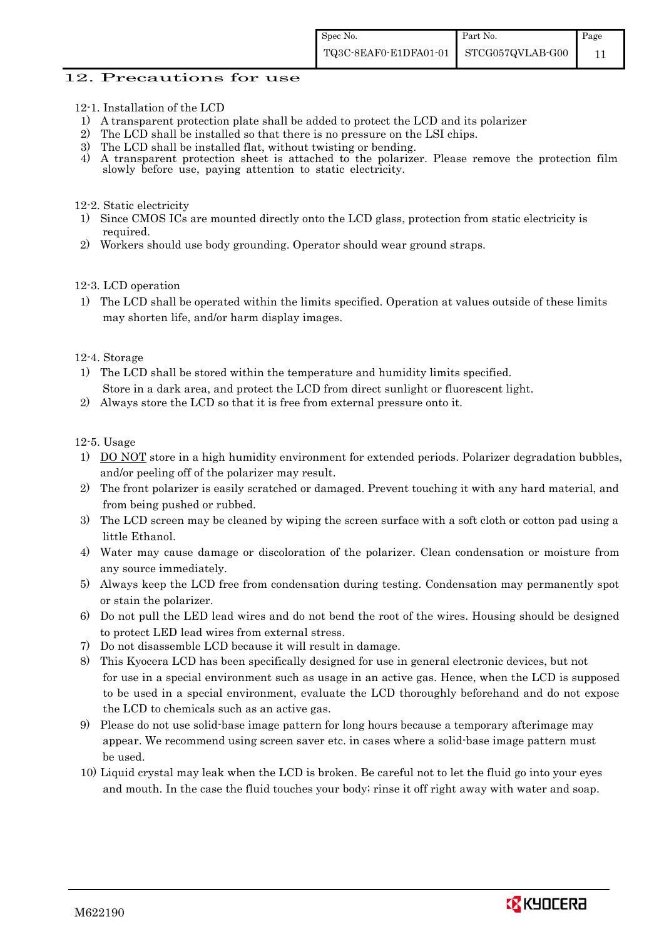### 12. Precautions for use

- 12-1. Installation of the LCD
- 1) A transparent protection plate shall be added to protect the LCD and its polarizer
- 2) The LCD shall be installed so that there is no pressure on the LSI chips.
- 3) The LCD shall be installed flat, without twisting or bending.
- 4) A transparent protection sheet is attached to the polarizer. Please remove the protection film slowly before use, paying attention to static electricity.

#### 12-2. Static electricity

- 1) Since CMOS ICs are mounted directly onto the LCD glass, protection from static electricity is required.
- 2) Workers should use body grounding. Operator should wear ground straps.

### 12-3. LCD operation

1) The LCD shall be operated within the limits specified. Operation at values outside of these limits may shorten life, and/or harm display images.

#### 12-4. Storage

- 1) The LCD shall be stored within the temperature and humidity limits specified. Store in a dark area, and protect the LCD from direct sunlight or fluorescent light.
- 2) Always store the LCD so that it is free from external pressure onto it.

12-5. Usage

- 1) DO NOT store in a high humidity environment for extended periods. Polarizer degradation bubbles, and/or peeling off of the polarizer may result.
- 2) The front polarizer is easily scratched or damaged. Prevent touching it with any hard material, and from being pushed or rubbed.
- 3) The LCD screen may be cleaned by wiping the screen surface with a soft cloth or cotton pad using a little Ethanol.
- 4) Water may cause damage or discoloration of the polarizer. Clean condensation or moisture from any source immediately.
- 5) Always keep the LCD free from condensation during testing. Condensation may permanently spot or stain the polarizer.
- 6) Do not pull the LED lead wires and do not bend the root of the wires. Housing should be designed to protect LED lead wires from external stress.
- 7) Do not disassemble LCD because it will result in damage.
- 8) This Kyocera LCD has been specifically designed for use in general electronic devices, but not for use in a special environment such as usage in an active gas. Hence, when the LCD is supposed to be used in a special environment, evaluate the LCD thoroughly beforehand and do not expose the LCD to chemicals such as an active gas.
- 9) Please do not use solid-base image pattern for long hours because a temporary afterimage may appear. We recommend using screen saver etc. in cases where a solid-base image pattern must be used.
- 10) Liquid crystal may leak when the LCD is broken. Be careful not to let the fluid go into your eyes and mouth. In the case the fluid touches your body; rinse it off right away with water and soap.

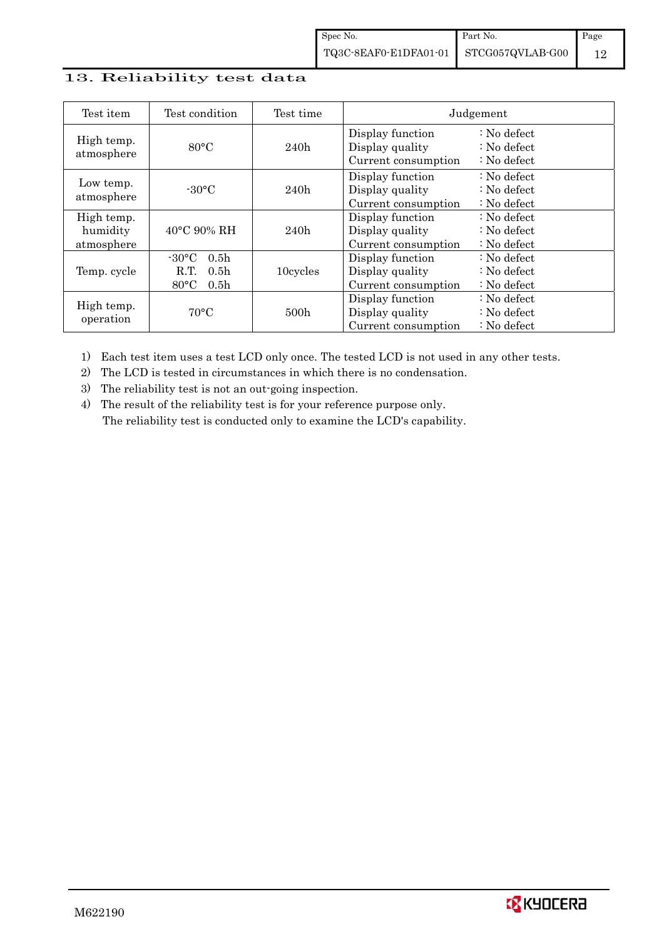## 13. Reliability test data

| Test item                            | Test condition                                                                                       | Test time        | Judgement                                                  |                                                                            |  |
|--------------------------------------|------------------------------------------------------------------------------------------------------|------------------|------------------------------------------------------------|----------------------------------------------------------------------------|--|
| High temp.<br>atmosphere             | $80^{\circ}$ C                                                                                       | 240h             | Display function<br>Display quality<br>Current consumption | $\therefore$ No defect<br>$\therefore$ No defect<br>$\therefore$ No defect |  |
| Low temp.<br>atmosphere              | $-30\degree C$                                                                                       | 240h             | Display function<br>Display quality<br>Current consumption | : No defect<br>$\therefore$ No defect<br>$\therefore$ No defect            |  |
| High temp.<br>humidity<br>atmosphere | $40^{\circ}$ C 90% RH                                                                                | 240h             | Display function<br>Display quality<br>Current consumption | : No defect<br>$\therefore$ No defect<br>$\therefore$ No defect            |  |
| Temp. cycle                          | $-30\degree C$<br>0.5 <sub>h</sub><br>0.5 <sub>h</sub><br>R.T.<br>$80^{\circ}$ C<br>0.5 <sub>h</sub> | 10cycles         | Display function<br>Display quality<br>Current consumption | $\therefore$ No defect<br>$\therefore$ No defect<br>$\therefore$ No defect |  |
| High temp.<br>operation              | $70^{\circ}$ C                                                                                       | 500 <sub>h</sub> | Display function<br>Display quality<br>Current consumption | $\therefore$ No defect<br>$\therefore$ No defect<br>$\therefore$ No defect |  |

1) Each test item uses a test LCD only once. The tested LCD is not used in any other tests.

2) The LCD is tested in circumstances in which there is no condensation.

3) The reliability test is not an out-going inspection.

4) The result of the reliability test is for your reference purpose only. The reliability test is conducted only to examine the LCD's capability.

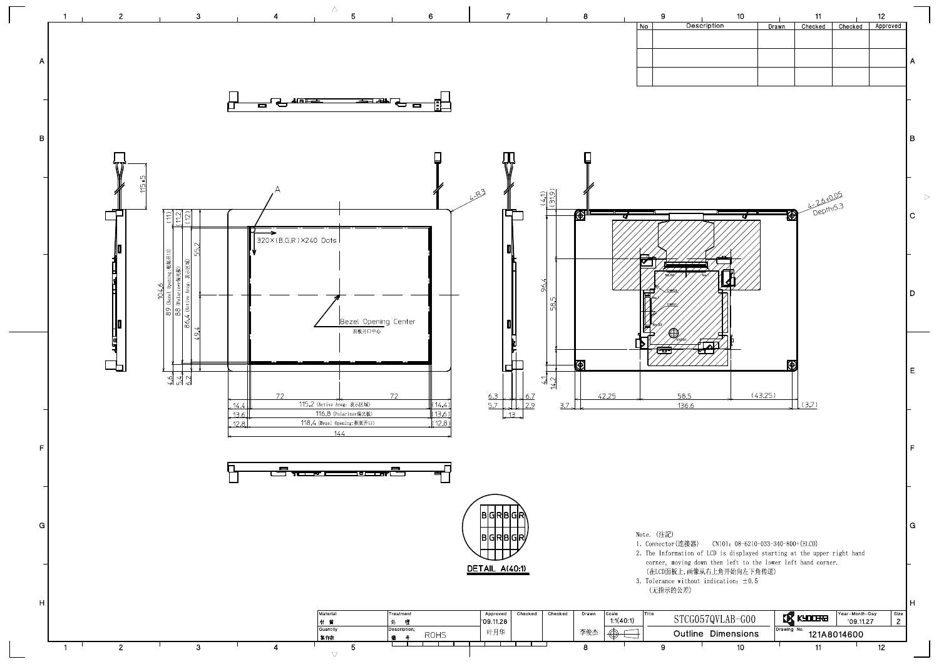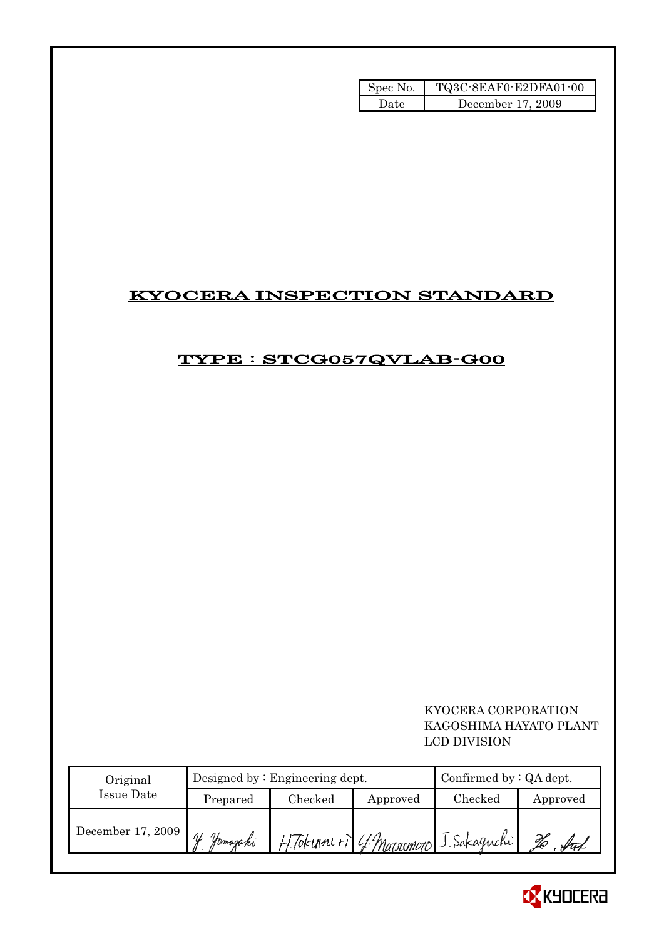| Spec No. | TQ3C-8EAF0-E2DFA01-00 |
|----------|-----------------------|
| Date.    | December 17, 2009     |

# KYOCERA INSPECTION STANDARD

# TYPE : STCG057QVLAB-G00

 KYOCERA CORPORATION KAGOSHIMA HAYATO PLANT LCD DIVISION

| Original          |                     | Designed by $:$ Engineering dept. | Confirmed by $:QA$ dept. |                                     |          |
|-------------------|---------------------|-----------------------------------|--------------------------|-------------------------------------|----------|
| Issue Date        | Prepared            | Checked                           | Approved                 | Checked                             | Approved |
| December 17, 2009 | Homaphi<br>$\eta$ l |                                   |                          | H.Tokumi H 4 Macromoto J. Sakaguchi | X        |

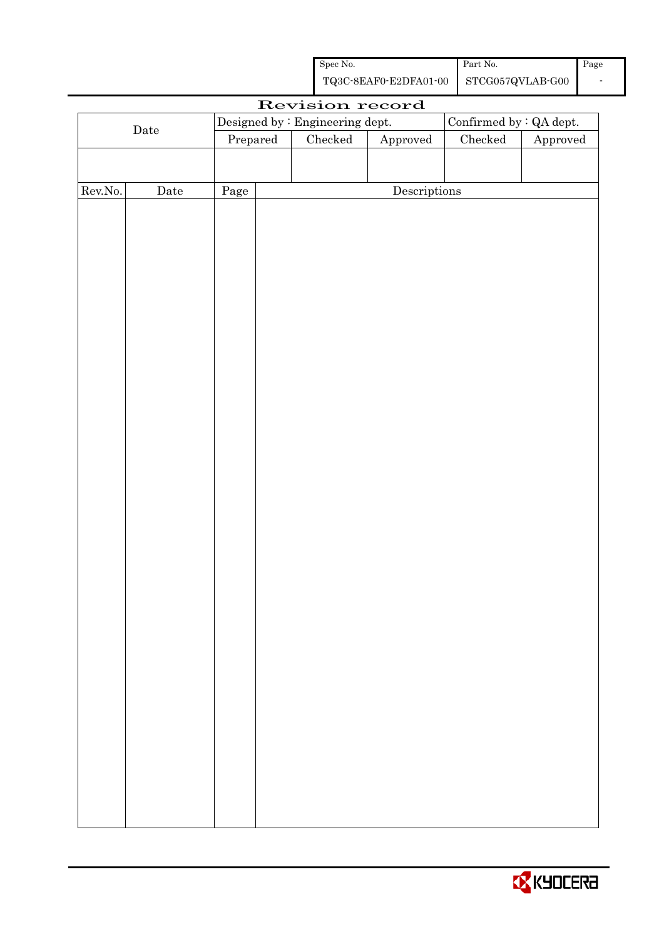| Spec No.                               | Part No. | Page |
|----------------------------------------|----------|------|
| TQ3C-8EAF0-E2DFA01-00 STCG057QVLAB-G00 |          |      |

|                      |                      |                                 |  | Revision record |                         |               |          |
|----------------------|----------------------|---------------------------------|--|-----------------|-------------------------|---------------|----------|
|                      |                      | Designed by : Engineering dept. |  |                 | Confirmed by : QA dept. |               |          |
| $\rm{\textbf{Date}}$ |                      | Prepared                        |  | Checked         | ${\Large\bf Approved}$  | $\rm Checked$ | Approved |
|                      |                      |                                 |  |                 |                         |               |          |
|                      |                      |                                 |  |                 |                         |               |          |
| Rev.No.              | $\rm{\textbf{Date}}$ | Page                            |  |                 | Descriptions            |               |          |
|                      |                      |                                 |  |                 |                         |               |          |
|                      |                      |                                 |  |                 |                         |               |          |
|                      |                      |                                 |  |                 |                         |               |          |
|                      |                      |                                 |  |                 |                         |               |          |
|                      |                      |                                 |  |                 |                         |               |          |
|                      |                      |                                 |  |                 |                         |               |          |
|                      |                      |                                 |  |                 |                         |               |          |
|                      |                      |                                 |  |                 |                         |               |          |
|                      |                      |                                 |  |                 |                         |               |          |
|                      |                      |                                 |  |                 |                         |               |          |
|                      |                      |                                 |  |                 |                         |               |          |
|                      |                      |                                 |  |                 |                         |               |          |
|                      |                      |                                 |  |                 |                         |               |          |
|                      |                      |                                 |  |                 |                         |               |          |
|                      |                      |                                 |  |                 |                         |               |          |
|                      |                      |                                 |  |                 |                         |               |          |
|                      |                      |                                 |  |                 |                         |               |          |
|                      |                      |                                 |  |                 |                         |               |          |
|                      |                      |                                 |  |                 |                         |               |          |
|                      |                      |                                 |  |                 |                         |               |          |
|                      |                      |                                 |  |                 |                         |               |          |
|                      |                      |                                 |  |                 |                         |               |          |
|                      |                      |                                 |  |                 |                         |               |          |
|                      |                      |                                 |  |                 |                         |               |          |
|                      |                      |                                 |  |                 |                         |               |          |
|                      |                      |                                 |  |                 |                         |               |          |
|                      |                      |                                 |  |                 |                         |               |          |
|                      |                      |                                 |  |                 |                         |               |          |
|                      |                      |                                 |  |                 |                         |               |          |
|                      |                      |                                 |  |                 |                         |               |          |
|                      |                      |                                 |  |                 |                         |               |          |
|                      |                      |                                 |  |                 |                         |               |          |
|                      |                      |                                 |  |                 |                         |               |          |
|                      |                      |                                 |  |                 |                         |               |          |
|                      |                      |                                 |  |                 |                         |               |          |

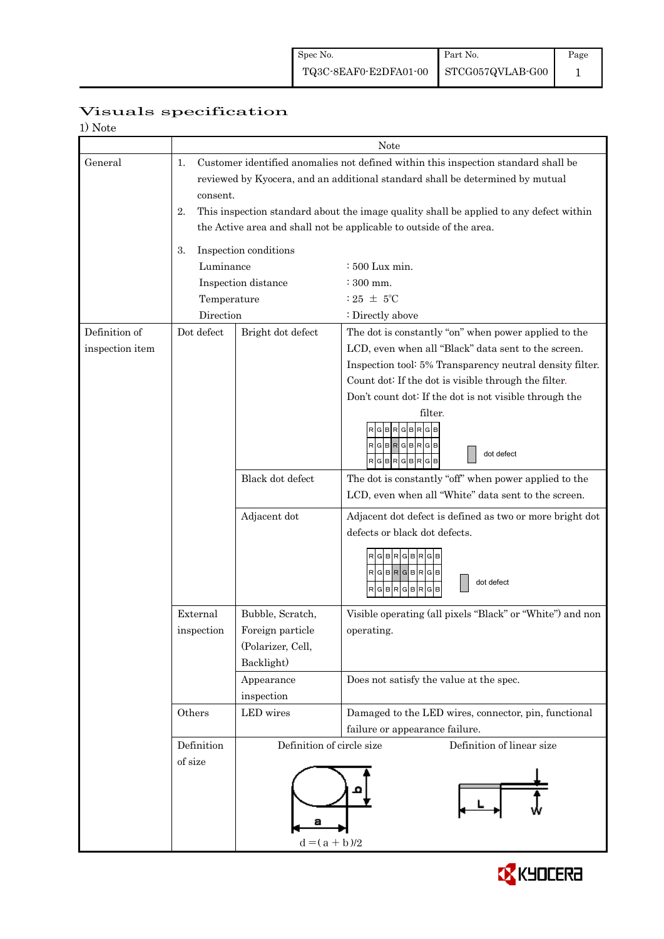| 1) Note         |                                                                                                                                                                                                                                                                                                                                                              |                                                                           |                                                                                                                                                                                                                                                                                                                                                              |  |  |  |  |
|-----------------|--------------------------------------------------------------------------------------------------------------------------------------------------------------------------------------------------------------------------------------------------------------------------------------------------------------------------------------------------------------|---------------------------------------------------------------------------|--------------------------------------------------------------------------------------------------------------------------------------------------------------------------------------------------------------------------------------------------------------------------------------------------------------------------------------------------------------|--|--|--|--|
|                 |                                                                                                                                                                                                                                                                                                                                                              | Note                                                                      |                                                                                                                                                                                                                                                                                                                                                              |  |  |  |  |
| General         | Customer identified anomalies not defined within this inspection standard shall be<br>1.<br>reviewed by Kyocera, and an additional standard shall be determined by mutual<br>consent.<br>This inspection standard about the image quality shall be applied to any defect within<br>2.<br>the Active area and shall not be applicable to outside of the area. |                                                                           |                                                                                                                                                                                                                                                                                                                                                              |  |  |  |  |
|                 |                                                                                                                                                                                                                                                                                                                                                              |                                                                           |                                                                                                                                                                                                                                                                                                                                                              |  |  |  |  |
|                 | 3.<br>Luminance                                                                                                                                                                                                                                                                                                                                              | Inspection conditions                                                     | $\div 500$ Lux min.                                                                                                                                                                                                                                                                                                                                          |  |  |  |  |
|                 |                                                                                                                                                                                                                                                                                                                                                              | Inspection distance                                                       | $: 300$ mm.                                                                                                                                                                                                                                                                                                                                                  |  |  |  |  |
|                 | Temperature                                                                                                                                                                                                                                                                                                                                                  |                                                                           | $:25 \pm 5^{\circ}$ C                                                                                                                                                                                                                                                                                                                                        |  |  |  |  |
|                 | Direction                                                                                                                                                                                                                                                                                                                                                    |                                                                           | : Directly above                                                                                                                                                                                                                                                                                                                                             |  |  |  |  |
| Definition of   | Dot defect                                                                                                                                                                                                                                                                                                                                                   | Bright dot defect                                                         | The dot is constantly "on" when power applied to the                                                                                                                                                                                                                                                                                                         |  |  |  |  |
| inspection item |                                                                                                                                                                                                                                                                                                                                                              | Black dot defect                                                          | LCD, even when all "Black" data sent to the screen.<br>Inspection tool: 5% Transparency neutral density filter.<br>Count dot: If the dot is visible through the filter.<br>Don't count dot: If the dot is not visible through the<br>filter.<br>в<br>RGBRGBRG<br>dot defect<br>$RG$ B $RG$ B $RG$ B<br>The dot is constantly "off" when power applied to the |  |  |  |  |
|                 |                                                                                                                                                                                                                                                                                                                                                              |                                                                           | LCD, even when all "White" data sent to the screen.                                                                                                                                                                                                                                                                                                          |  |  |  |  |
|                 |                                                                                                                                                                                                                                                                                                                                                              | Adjacent dot                                                              | Adjacent dot defect is defined as two or more bright dot<br>defects or black dot defects.<br><b>GBRGBRGB</b><br>RGBRGBRGB<br>dot defect<br>RGBRGB<br>$\mathsf{R}$<br>G                                                                                                                                                                                       |  |  |  |  |
|                 | External<br>inspection                                                                                                                                                                                                                                                                                                                                       | Bubble, Scratch,<br>Foreign particle<br>(Polarizer, Cell,<br>Backlight)   | Visible operating (all pixels "Black" or "White") and non<br>operating.                                                                                                                                                                                                                                                                                      |  |  |  |  |
|                 |                                                                                                                                                                                                                                                                                                                                                              | Appearance<br>inspection                                                  | Does not satisfy the value at the spec.                                                                                                                                                                                                                                                                                                                      |  |  |  |  |
|                 | Others                                                                                                                                                                                                                                                                                                                                                       | LED wires                                                                 | Damaged to the LED wires, connector, pin, functional<br>failure or appearance failure.                                                                                                                                                                                                                                                                       |  |  |  |  |
|                 | Definition<br>of size                                                                                                                                                                                                                                                                                                                                        | Definition of circle size<br>Definition of linear size<br>$d = (a + b)/2$ |                                                                                                                                                                                                                                                                                                                                                              |  |  |  |  |